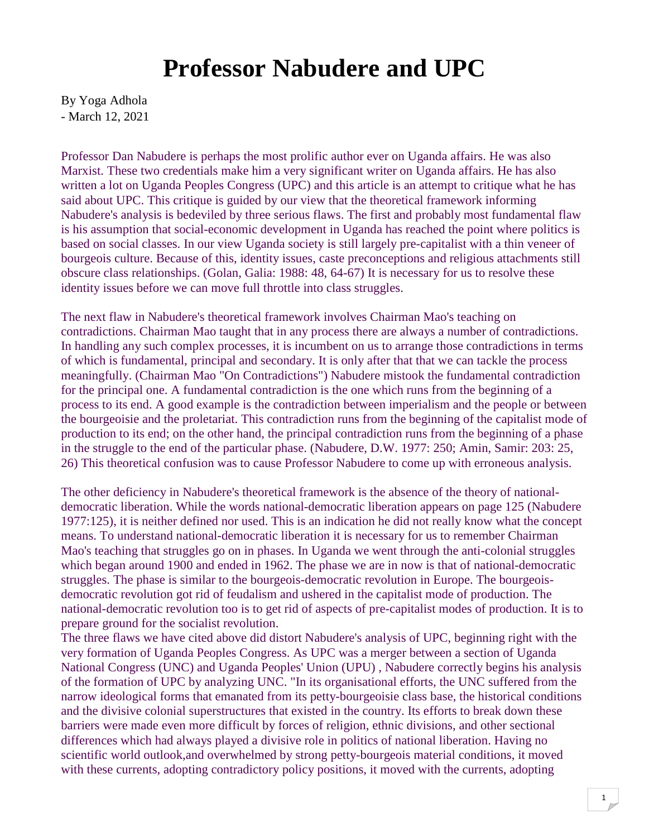## **Professor Nabudere and UPC**

By Yoga Adhola - March 12, 2021

Professor Dan Nabudere is perhaps the most prolific author ever on Uganda affairs. He was also Marxist. These two credentials make him a very significant writer on Uganda affairs. He has also written a lot on Uganda Peoples Congress (UPC) and this article is an attempt to critique what he has said about UPC. This critique is guided by our view that the theoretical framework informing Nabudere's analysis is bedeviled by three serious flaws. The first and probably most fundamental flaw is his assumption that social-economic development in Uganda has reached the point where politics is based on social classes. In our view Uganda society is still largely pre-capitalist with a thin veneer of bourgeois culture. Because of this, identity issues, caste preconceptions and religious attachments still obscure class relationships. (Golan, Galia: 1988: 48, 64-67) It is necessary for us to resolve these identity issues before we can move full throttle into class struggles.

The next flaw in Nabudere's theoretical framework involves Chairman Mao's teaching on contradictions. Chairman Mao taught that in any process there are always a number of contradictions. In handling any such complex processes, it is incumbent on us to arrange those contradictions in terms of which is fundamental, principal and secondary. It is only after that that we can tackle the process meaningfully. (Chairman Mao "On Contradictions") Nabudere mistook the fundamental contradiction for the principal one. A fundamental contradiction is the one which runs from the beginning of a process to its end. A good example is the contradiction between imperialism and the people or between the bourgeoisie and the proletariat. This contradiction runs from the beginning of the capitalist mode of production to its end; on the other hand, the principal contradiction runs from the beginning of a phase in the struggle to the end of the particular phase. (Nabudere, D.W. 1977: 250; Amin, Samir: 203: 25, 26) This theoretical confusion was to cause Professor Nabudere to come up with erroneous analysis.

The other deficiency in Nabudere's theoretical framework is the absence of the theory of nationaldemocratic liberation. While the words national-democratic liberation appears on page 125 (Nabudere 1977:125), it is neither defined nor used. This is an indication he did not really know what the concept means. To understand national-democratic liberation it is necessary for us to remember Chairman Mao's teaching that struggles go on in phases. In Uganda we went through the anti-colonial struggles which began around 1900 and ended in 1962. The phase we are in now is that of national-democratic struggles. The phase is similar to the bourgeois-democratic revolution in Europe. The bourgeoisdemocratic revolution got rid of feudalism and ushered in the capitalist mode of production. The national-democratic revolution too is to get rid of aspects of pre-capitalist modes of production. It is to prepare ground for the socialist revolution.

The three flaws we have cited above did distort Nabudere's analysis of UPC, beginning right with the very formation of Uganda Peoples Congress. As UPC was a merger between a section of Uganda National Congress (UNC) and Uganda Peoples' Union (UPU) , Nabudere correctly begins his analysis of the formation of UPC by analyzing UNC. "In its organisational efforts, the UNC suffered from the narrow ideological forms that emanated from its petty-bourgeoisie class base, the historical conditions and the divisive colonial superstructures that existed in the country. Its efforts to break down these barriers were made even more difficult by forces of religion, ethnic divisions, and other sectional differences which had always played a divisive role in politics of national liberation. Having no scientific world outlook,and overwhelmed by strong petty-bourgeois material conditions, it moved with these currents, adopting contradictory policy positions, it moved with the currents, adopting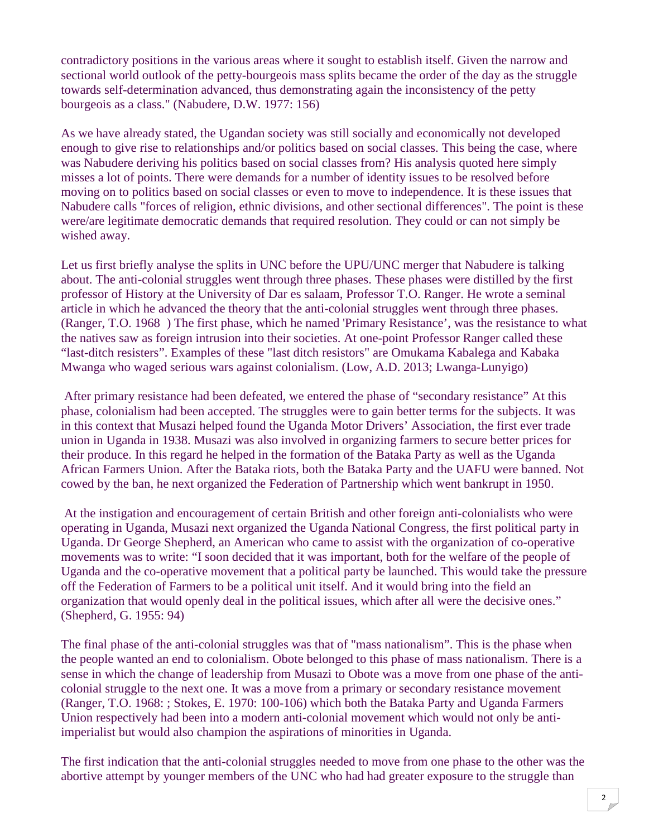contradictory positions in the various areas where it sought to establish itself. Given the narrow and sectional world outlook of the petty-bourgeois mass splits became the order of the day as the struggle towards self-determination advanced, thus demonstrating again the inconsistency of the petty bourgeois as a class." (Nabudere, D.W. 1977: 156)

As we have already stated, the Ugandan society was still socially and economically not developed enough to give rise to relationships and/or politics based on social classes. This being the case, where was Nabudere deriving his politics based on social classes from? His analysis quoted here simply misses a lot of points. There were demands for a number of identity issues to be resolved before moving on to politics based on social classes or even to move to independence. It is these issues that Nabudere calls "forces of religion, ethnic divisions, and other sectional differences". The point is these were/are legitimate democratic demands that required resolution. They could or can not simply be wished away.

Let us first briefly analyse the splits in UNC before the UPU/UNC merger that Nabudere is talking about. The anti-colonial struggles went through three phases. These phases were distilled by the first professor of History at the University of Dar es salaam, Professor T.O. Ranger. He wrote a seminal article in which he advanced the theory that the anti-colonial struggles went through three phases. (Ranger, T.O. 1968 ) The first phase, which he named 'Primary Resistance', was the resistance to what the natives saw as foreign intrusion into their societies. At one-point Professor Ranger called these "last-ditch resisters". Examples of these "last ditch resistors" are Omukama Kabalega and Kabaka Mwanga who waged serious wars against colonialism. (Low, A.D. 2013; Lwanga-Lunyigo)

 After primary resistance had been defeated, we entered the phase of "secondary resistance" At this phase, colonialism had been accepted. The struggles were to gain better terms for the subjects. It was in this context that Musazi helped found the Uganda Motor Drivers' Association, the first ever trade union in Uganda in 1938. Musazi was also involved in organizing farmers to secure better prices for their produce. In this regard he helped in the formation of the Bataka Party as well as the Uganda African Farmers Union. After the Bataka riots, both the Bataka Party and the UAFU were banned. Not cowed by the ban, he next organized the Federation of Partnership which went bankrupt in 1950.

 At the instigation and encouragement of certain British and other foreign anti-colonialists who were operating in Uganda, Musazi next organized the Uganda National Congress, the first political party in Uganda. Dr George Shepherd, an American who came to assist with the organization of co-operative movements was to write: "I soon decided that it was important, both for the welfare of the people of Uganda and the co-operative movement that a political party be launched. This would take the pressure off the Federation of Farmers to be a political unit itself. And it would bring into the field an organization that would openly deal in the political issues, which after all were the decisive ones." (Shepherd, G. 1955: 94)

The final phase of the anti-colonial struggles was that of "mass nationalism". This is the phase when the people wanted an end to colonialism. Obote belonged to this phase of mass nationalism. There is a sense in which the change of leadership from Musazi to Obote was a move from one phase of the anticolonial struggle to the next one. It was a move from a primary or secondary resistance movement (Ranger, T.O. 1968: ; Stokes, E. 1970: 100-106) which both the Bataka Party and Uganda Farmers Union respectively had been into a modern anti-colonial movement which would not only be antiimperialist but would also champion the aspirations of minorities in Uganda.

The first indication that the anti-colonial struggles needed to move from one phase to the other was the abortive attempt by younger members of the UNC who had had greater exposure to the struggle than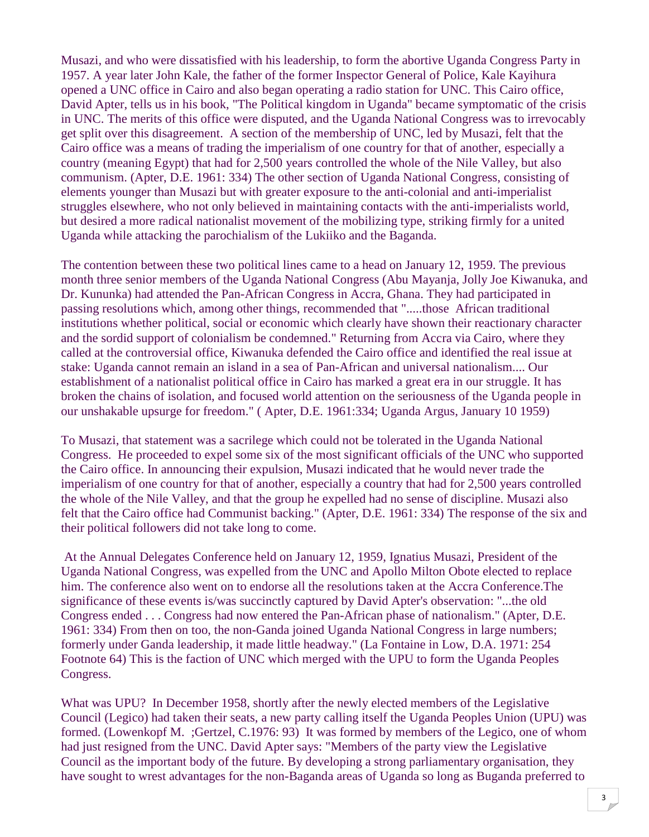Musazi, and who were dissatisfied with his leadership, to form the abortive Uganda Congress Party in 1957. A year later John Kale, the father of the former Inspector General of Police, Kale Kayihura opened a UNC office in Cairo and also began operating a radio station for UNC. This Cairo office, David Apter, tells us in his book, "The Political kingdom in Uganda" became symptomatic of the crisis in UNC. The merits of this office were disputed, and the Uganda National Congress was to irrevocably get split over this disagreement. A section of the membership of UNC, led by Musazi, felt that the Cairo office was a means of trading the imperialism of one country for that of another, especially a country (meaning Egypt) that had for 2,500 years controlled the whole of the Nile Valley, but also communism. (Apter, D.E. 1961: 334) The other section of Uganda National Congress, consisting of elements younger than Musazi but with greater exposure to the anti-colonial and anti-imperialist struggles elsewhere, who not only believed in maintaining contacts with the anti-imperialists world, but desired a more radical nationalist movement of the mobilizing type, striking firmly for a united Uganda while attacking the parochialism of the Lukiiko and the Baganda.

The contention between these two political lines came to a head on January 12, 1959. The previous month three senior members of the Uganda National Congress (Abu Mayanja, Jolly Joe Kiwanuka, and Dr. Kununka) had attended the Pan-African Congress in Accra, Ghana. They had participated in passing resolutions which, among other things, recommended that ".....those African traditional institutions whether political, social or economic which clearly have shown their reactionary character and the sordid support of colonialism be condemned." Returning from Accra via Cairo, where they called at the controversial office, Kiwanuka defended the Cairo office and identified the real issue at stake: Uganda cannot remain an island in a sea of Pan-African and universal nationalism.... Our establishment of a nationalist political office in Cairo has marked a great era in our struggle. It has broken the chains of isolation, and focused world attention on the seriousness of the Uganda people in our unshakable upsurge for freedom." ( Apter, D.E. 1961:334; Uganda Argus, January 10 1959)

To Musazi, that statement was a sacrilege which could not be tolerated in the Uganda National Congress. He proceeded to expel some six of the most significant officials of the UNC who supported the Cairo office. In announcing their expulsion, Musazi indicated that he would never trade the imperialism of one country for that of another, especially a country that had for 2,500 years controlled the whole of the Nile Valley, and that the group he expelled had no sense of discipline. Musazi also felt that the Cairo office had Communist backing." (Apter, D.E. 1961: 334) The response of the six and their political followers did not take long to come.

 At the Annual Delegates Conference held on January 12, 1959, Ignatius Musazi, President of the Uganda National Congress, was expelled from the UNC and Apollo Milton Obote elected to replace him. The conference also went on to endorse all the resolutions taken at the Accra Conference.The significance of these events is/was succinctly captured by David Apter's observation: "...the old Congress ended . . . Congress had now entered the Pan-African phase of nationalism." (Apter, D.E. 1961: 334) From then on too, the non-Ganda joined Uganda National Congress in large numbers; formerly under Ganda leadership, it made little headway." (La Fontaine in Low, D.A. 1971: 254 Footnote 64) This is the faction of UNC which merged with the UPU to form the Uganda Peoples Congress.

What was UPU? In December 1958, shortly after the newly elected members of the Legislative Council (Legico) had taken their seats, a new party calling itself the Uganda Peoples Union (UPU) was formed. (Lowenkopf M. ;Gertzel, C.1976: 93) It was formed by members of the Legico, one of whom had just resigned from the UNC. David Apter says: "Members of the party view the Legislative Council as the important body of the future. By developing a strong parliamentary organisation, they have sought to wrest advantages for the non-Baganda areas of Uganda so long as Buganda preferred to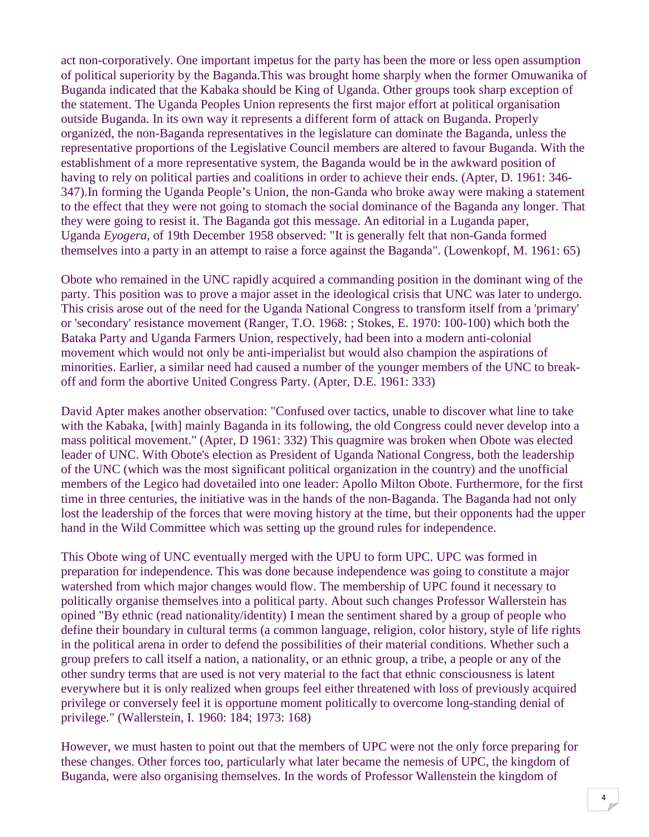act non-corporatively. One important impetus for the party has been the more or less open assumption of political superiority by the Baganda.This was brought home sharply when the former Omuwanika of Buganda indicated that the Kabaka should be King of Uganda. Other groups took sharp exception of the statement. The Uganda Peoples Union represents the first major effort at political organisation outside Buganda. In its own way it represents a different form of attack on Buganda. Properly organized, the non-Baganda representatives in the legislature can dominate the Baganda, unless the representative proportions of the Legislative Council members are altered to favour Buganda. With the establishment of a more representative system, the Baganda would be in the awkward position of having to rely on political parties and coalitions in order to achieve their ends. (Apter, D. 1961: 346- 347).In forming the Uganda People's Union, the non-Ganda who broke away were making a statement to the effect that they were not going to stomach the social dominance of the Baganda any longer. That they were going to resist it. The Baganda got this message. An editorial in a Luganda paper, Uganda *Eyogera*, of 19th December 1958 observed: "It is generally felt that non-Ganda formed themselves into a party in an attempt to raise a force against the Baganda". (Lowenkopf, M. 1961: 65)

Obote who remained in the UNC rapidly acquired a commanding position in the dominant wing of the party. This position was to prove a major asset in the ideological crisis that UNC was later to undergo. This crisis arose out of the need for the Uganda National Congress to transform itself from a 'primary' or 'secondary' resistance movement (Ranger, T.O. 1968: ; Stokes, E. 1970: 100-100) which both the Bataka Party and Uganda Farmers Union, respectively, had been into a modern anti-colonial movement which would not only be anti-imperialist but would also champion the aspirations of minorities. Earlier, a similar need had caused a number of the younger members of the UNC to breakoff and form the abortive United Congress Party. (Apter, D.E. 1961: 333)

David Apter makes another observation: "Confused over tactics, unable to discover what line to take with the Kabaka, [with] mainly Baganda in its following, the old Congress could never develop into a mass political movement." (Apter, D 1961: 332) This quagmire was broken when Obote was elected leader of UNC. With Obote's election as President of Uganda National Congress, both the leadership of the UNC (which was the most significant political organization in the country) and the unofficial members of the Legico had dovetailed into one leader: Apollo Milton Obote. Furthermore, for the first time in three centuries, the initiative was in the hands of the non-Baganda. The Baganda had not only lost the leadership of the forces that were moving history at the time, but their opponents had the upper hand in the Wild Committee which was setting up the ground rules for independence.

This Obote wing of UNC eventually merged with the UPU to form UPC. UPC was formed in preparation for independence. This was done because independence was going to constitute a major watershed from which major changes would flow. The membership of UPC found it necessary to politically organise themselves into a political party. About such changes Professor Wallerstein has opined "By ethnic (read nationality/identity) I mean the sentiment shared by a group of people who define their boundary in cultural terms (a common language, religion, color history, style of life rights in the political arena in order to defend the possibilities of their material conditions. Whether such a group prefers to call itself a nation, a nationality, or an ethnic group, a tribe, a people or any of the other sundry terms that are used is not very material to the fact that ethnic consciousness is latent everywhere but it is only realized when groups feel either threatened with loss of previously acquired privilege or conversely feel it is opportune moment politically to overcome long-standing denial of privilege." (Wallerstein, I. 1960: 184; 1973: 168)

However, we must hasten to point out that the members of UPC were not the only force preparing for these changes. Other forces too, particularly what later became the nemesis of UPC, the kingdom of Buganda, were also organising themselves. In the words of Professor Wallenstein the kingdom of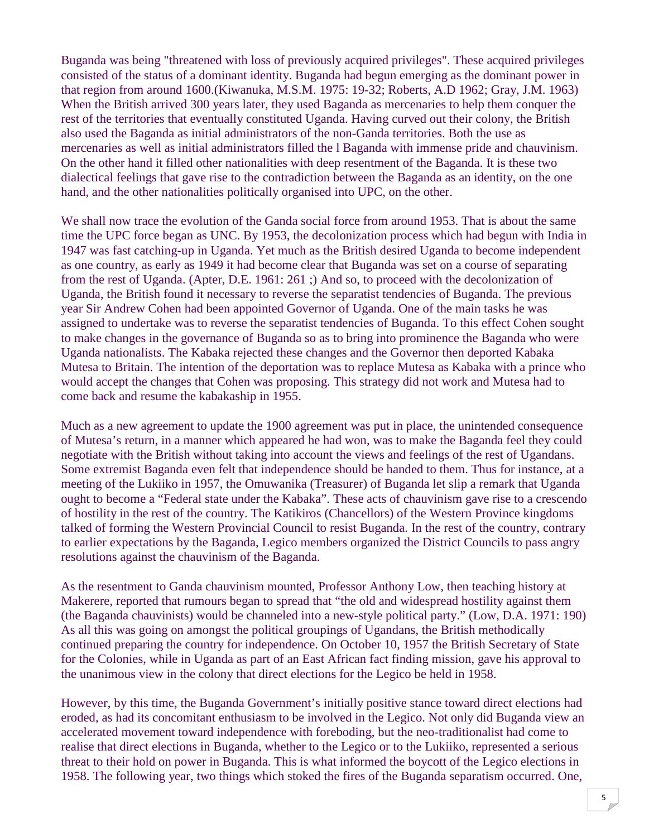Buganda was being "threatened with loss of previously acquired privileges". These acquired privileges consisted of the status of a dominant identity. Buganda had begun emerging as the dominant power in that region from around 1600.(Kiwanuka, M.S.M. 1975: 19-32; Roberts, A.D 1962; Gray, J.M. 1963) When the British arrived 300 years later, they used Baganda as mercenaries to help them conquer the rest of the territories that eventually constituted Uganda. Having curved out their colony, the British also used the Baganda as initial administrators of the non-Ganda territories. Both the use as mercenaries as well as initial administrators filled the l Baganda with immense pride and chauvinism. On the other hand it filled other nationalities with deep resentment of the Baganda. It is these two dialectical feelings that gave rise to the contradiction between the Baganda as an identity, on the one hand, and the other nationalities politically organised into UPC, on the other.

We shall now trace the evolution of the Ganda social force from around 1953. That is about the same time the UPC force began as UNC. By 1953, the decolonization process which had begun with India in 1947 was fast catching-up in Uganda. Yet much as the British desired Uganda to become independent as one country, as early as 1949 it had become clear that Buganda was set on a course of separating from the rest of Uganda. (Apter, D.E. 1961: 261 ;) And so, to proceed with the decolonization of Uganda, the British found it necessary to reverse the separatist tendencies of Buganda. The previous year Sir Andrew Cohen had been appointed Governor of Uganda. One of the main tasks he was assigned to undertake was to reverse the separatist tendencies of Buganda. To this effect Cohen sought to make changes in the governance of Buganda so as to bring into prominence the Baganda who were Uganda nationalists. The Kabaka rejected these changes and the Governor then deported Kabaka Mutesa to Britain. The intention of the deportation was to replace Mutesa as Kabaka with a prince who would accept the changes that Cohen was proposing. This strategy did not work and Mutesa had to come back and resume the kabakaship in 1955.

Much as a new agreement to update the 1900 agreement was put in place, the unintended consequence of Mutesa's return, in a manner which appeared he had won, was to make the Baganda feel they could negotiate with the British without taking into account the views and feelings of the rest of Ugandans. Some extremist Baganda even felt that independence should be handed to them. Thus for instance, at a meeting of the Lukiiko in 1957, the Omuwanika (Treasurer) of Buganda let slip a remark that Uganda ought to become a "Federal state under the Kabaka". These acts of chauvinism gave rise to a crescendo of hostility in the rest of the country. The Katikiros (Chancellors) of the Western Province kingdoms talked of forming the Western Provincial Council to resist Buganda. In the rest of the country, contrary to earlier expectations by the Baganda, Legico members organized the District Councils to pass angry resolutions against the chauvinism of the Baganda.

As the resentment to Ganda chauvinism mounted, Professor Anthony Low, then teaching history at Makerere, reported that rumours began to spread that "the old and widespread hostility against them (the Baganda chauvinists) would be channeled into a new-style political party." (Low, D.A. 1971: 190) As all this was going on amongst the political groupings of Ugandans, the British methodically continued preparing the country for independence. On October 10, 1957 the British Secretary of State for the Colonies, while in Uganda as part of an East African fact finding mission, gave his approval to the unanimous view in the colony that direct elections for the Legico be held in 1958.

However, by this time, the Buganda Government's initially positive stance toward direct elections had eroded, as had its concomitant enthusiasm to be involved in the Legico. Not only did Buganda view an accelerated movement toward independence with foreboding, but the neo-traditionalist had come to realise that direct elections in Buganda, whether to the Legico or to the Lukiiko, represented a serious threat to their hold on power in Buganda. This is what informed the boycott of the Legico elections in 1958. The following year, two things which stoked the fires of the Buganda separatism occurred. One,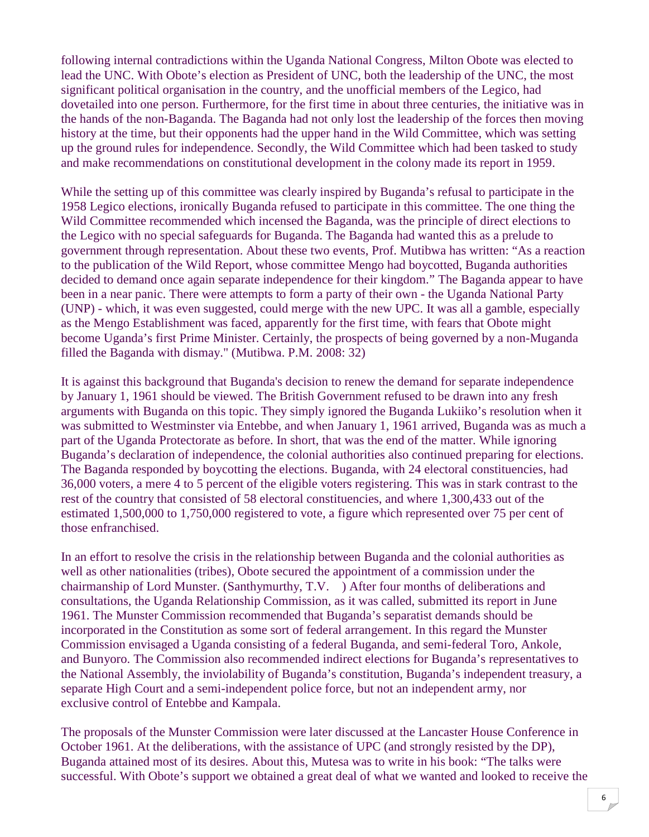following internal contradictions within the Uganda National Congress, Milton Obote was elected to lead the UNC. With Obote's election as President of UNC, both the leadership of the UNC, the most significant political organisation in the country, and the unofficial members of the Legico, had dovetailed into one person. Furthermore, for the first time in about three centuries, the initiative was in the hands of the non-Baganda. The Baganda had not only lost the leadership of the forces then moving history at the time, but their opponents had the upper hand in the Wild Committee, which was setting up the ground rules for independence. Secondly, the Wild Committee which had been tasked to study and make recommendations on constitutional development in the colony made its report in 1959.

While the setting up of this committee was clearly inspired by Buganda's refusal to participate in the 1958 Legico elections, ironically Buganda refused to participate in this committee. The one thing the Wild Committee recommended which incensed the Baganda, was the principle of direct elections to the Legico with no special safeguards for Buganda. The Baganda had wanted this as a prelude to government through representation. About these two events, Prof. Mutibwa has written: "As a reaction to the publication of the Wild Report, whose committee Mengo had boycotted, Buganda authorities decided to demand once again separate independence for their kingdom." The Baganda appear to have been in a near panic. There were attempts to form a party of their own - the Uganda National Party (UNP) - which, it was even suggested, could merge with the new UPC. It was all a gamble, especially as the Mengo Establishment was faced, apparently for the first time, with fears that Obote might become Uganda's first Prime Minister. Certainly, the prospects of being governed by a non-Muganda filled the Baganda with dismay." (Mutibwa. P.M. 2008: 32)

It is against this background that Buganda's decision to renew the demand for separate independence by January 1, 1961 should be viewed. The British Government refused to be drawn into any fresh arguments with Buganda on this topic. They simply ignored the Buganda Lukiiko's resolution when it was submitted to Westminster via Entebbe, and when January 1, 1961 arrived, Buganda was as much a part of the Uganda Protectorate as before. In short, that was the end of the matter. While ignoring Buganda's declaration of independence, the colonial authorities also continued preparing for elections. The Baganda responded by boycotting the elections. Buganda, with 24 electoral constituencies, had 36,000 voters, a mere 4 to 5 percent of the eligible voters registering. This was in stark contrast to the rest of the country that consisted of 58 electoral constituencies, and where 1,300,433 out of the estimated 1,500,000 to 1,750,000 registered to vote, a figure which represented over 75 per cent of those enfranchised.

In an effort to resolve the crisis in the relationship between Buganda and the colonial authorities as well as other nationalities (tribes), Obote secured the appointment of a commission under the chairmanship of Lord Munster. (Santhymurthy, T.V. ) After four months of deliberations and consultations, the Uganda Relationship Commission, as it was called, submitted its report in June 1961. The Munster Commission recommended that Buganda's separatist demands should be incorporated in the Constitution as some sort of federal arrangement. In this regard the Munster Commission envisaged a Uganda consisting of a federal Buganda, and semi-federal Toro, Ankole, and Bunyoro. The Commission also recommended indirect elections for Buganda's representatives to the National Assembly, the inviolability of Buganda's constitution, Buganda's independent treasury, a separate High Court and a semi-independent police force, but not an independent army, nor exclusive control of Entebbe and Kampala.

The proposals of the Munster Commission were later discussed at the Lancaster House Conference in October 1961. At the deliberations, with the assistance of UPC (and strongly resisted by the DP), Buganda attained most of its desires. About this, Mutesa was to write in his book: "The talks were successful. With Obote's support we obtained a great deal of what we wanted and looked to receive the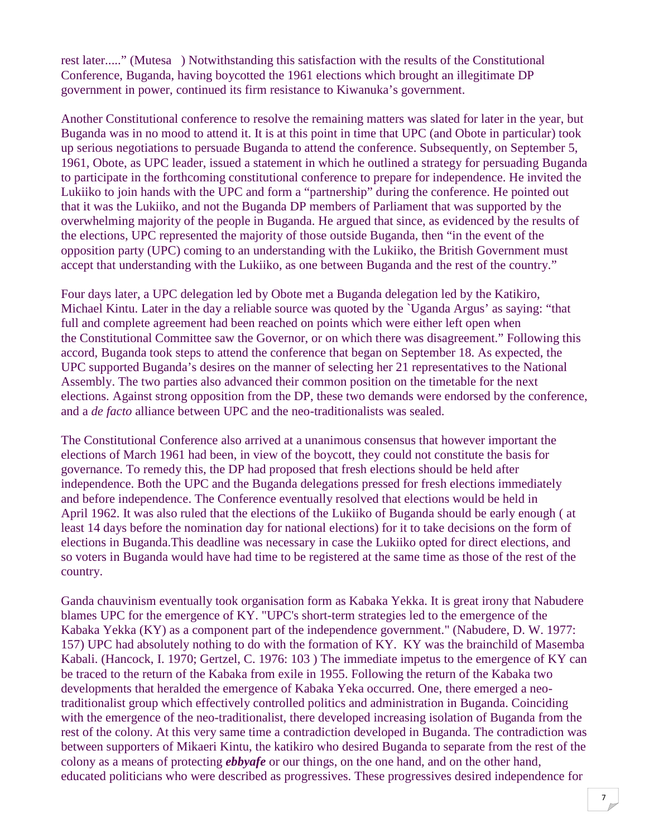rest later....." (Mutesa ) Notwithstanding this satisfaction with the results of the Constitutional Conference, Buganda, having boycotted the 1961 elections which brought an illegitimate DP government in power, continued its firm resistance to Kiwanuka's government.

Another Constitutional conference to resolve the remaining matters was slated for later in the year, but Buganda was in no mood to attend it. It is at this point in time that UPC (and Obote in particular) took up serious negotiations to persuade Buganda to attend the conference. Subsequently, on September 5, 1961, Obote, as UPC leader, issued a statement in which he outlined a strategy for persuading Buganda to participate in the forthcoming constitutional conference to prepare for independence. He invited the Lukiiko to join hands with the UPC and form a "partnership" during the conference. He pointed out that it was the Lukiiko, and not the Buganda DP members of Parliament that was supported by the overwhelming majority of the people in Buganda. He argued that since, as evidenced by the results of the elections, UPC represented the majority of those outside Buganda, then "in the event of the opposition party (UPC) coming to an understanding with the Lukiiko, the British Government must accept that understanding with the Lukiiko, as one between Buganda and the rest of the country."

Four days later, a UPC delegation led by Obote met a Buganda delegation led by the Katikiro, Michael Kintu. Later in the day a reliable source was quoted by the `Uganda Argus' as saying: "that full and complete agreement had been reached on points which were either left open when the Constitutional Committee saw the Governor, or on which there was disagreement." Following this accord, Buganda took steps to attend the conference that began on September 18. As expected, the UPC supported Buganda's desires on the manner of selecting her 21 representatives to the National Assembly. The two parties also advanced their common position on the timetable for the next elections. Against strong opposition from the DP, these two demands were endorsed by the conference, and a *de facto* alliance between UPC and the neo-traditionalists was sealed.

The Constitutional Conference also arrived at a unanimous consensus that however important the elections of March 1961 had been, in view of the boycott, they could not constitute the basis for governance. To remedy this, the DP had proposed that fresh elections should be held after independence. Both the UPC and the Buganda delegations pressed for fresh elections immediately and before independence. The Conference eventually resolved that elections would be held in April 1962. It was also ruled that the elections of the Lukiiko of Buganda should be early enough ( at least 14 days before the nomination day for national elections) for it to take decisions on the form of elections in Buganda.This deadline was necessary in case the Lukiiko opted for direct elections, and so voters in Buganda would have had time to be registered at the same time as those of the rest of the country.

Ganda chauvinism eventually took organisation form as Kabaka Yekka. It is great irony that Nabudere blames UPC for the emergence of KY. "UPC's short-term strategies led to the emergence of the Kabaka Yekka (KY) as a component part of the independence government." (Nabudere, D. W. 1977: 157) UPC had absolutely nothing to do with the formation of KY. KY was the brainchild of Masemba Kabali. (Hancock, I. 1970; Gertzel, C. 1976: 103 ) The immediate impetus to the emergence of KY can be traced to the return of the Kabaka from exile in 1955. Following the return of the Kabaka two developments that heralded the emergence of Kabaka Yeka occurred. One, there emerged a neotraditionalist group which effectively controlled politics and administration in Buganda. Coinciding with the emergence of the neo-traditionalist, there developed increasing isolation of Buganda from the rest of the colony. At this very same time a contradiction developed in Buganda. The contradiction was between supporters of Mikaeri Kintu, the katikiro who desired Buganda to separate from the rest of the colony as a means of protecting *ebbyafe* or our things, on the one hand, and on the other hand, educated politicians who were described as progressives. These progressives desired independence for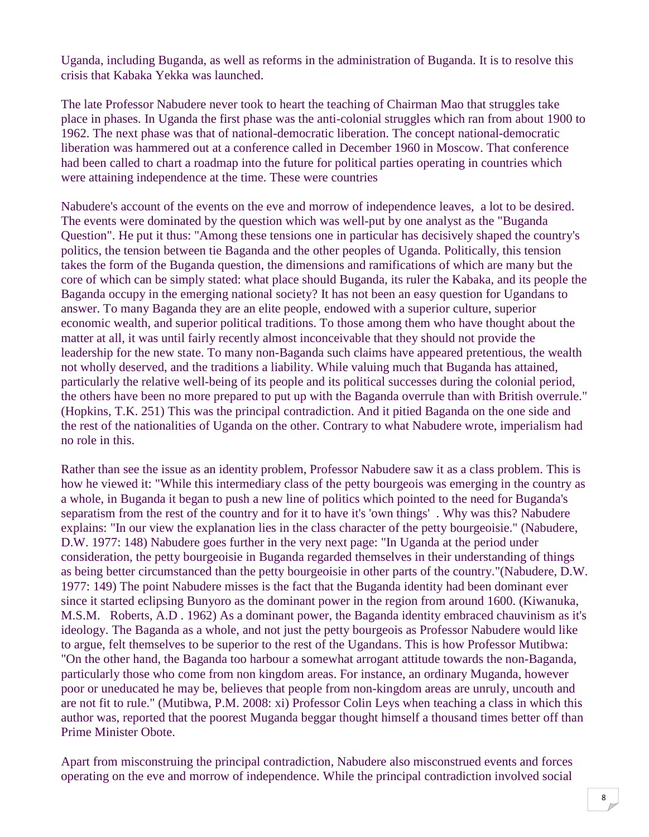Uganda, including Buganda, as well as reforms in the administration of Buganda. It is to resolve this crisis that Kabaka Yekka was launched.

The late Professor Nabudere never took to heart the teaching of Chairman Mao that struggles take place in phases. In Uganda the first phase was the anti-colonial struggles which ran from about 1900 to 1962. The next phase was that of national-democratic liberation. The concept national-democratic liberation was hammered out at a conference called in December 1960 in Moscow. That conference had been called to chart a roadmap into the future for political parties operating in countries which were attaining independence at the time. These were countries

Nabudere's account of the events on the eve and morrow of independence leaves, a lot to be desired. The events were dominated by the question which was well-put by one analyst as the "Buganda Question". He put it thus: "Among these tensions one in particular has decisively shaped the country's politics, the tension between tie Baganda and the other peoples of Uganda. Politically, this tension takes the form of the Buganda question, the dimensions and ramifications of which are many but the core of which can be simply stated: what place should Buganda, its ruler the Kabaka, and its people the Baganda occupy in the emerging national society? It has not been an easy question for Ugandans to answer. To many Baganda they are an elite people, endowed with a superior culture, superior economic wealth, and superior political traditions. To those among them who have thought about the matter at all, it was until fairly recently almost inconceivable that they should not provide the leadership for the new state. To many non-Baganda such claims have appeared pretentious, the wealth not wholly deserved, and the traditions a liability. While valuing much that Buganda has attained, particularly the relative well-being of its people and its political successes during the colonial period, the others have been no more prepared to put up with the Baganda overrule than with British overrule." (Hopkins, T.K. 251) This was the principal contradiction. And it pitied Baganda on the one side and the rest of the nationalities of Uganda on the other. Contrary to what Nabudere wrote, imperialism had no role in this.

Rather than see the issue as an identity problem, Professor Nabudere saw it as a class problem. This is how he viewed it: "While this intermediary class of the petty bourgeois was emerging in the country as a whole, in Buganda it began to push a new line of politics which pointed to the need for Buganda's separatism from the rest of the country and for it to have it's 'own things' . Why was this? Nabudere explains: "In our view the explanation lies in the class character of the petty bourgeoisie." (Nabudere, D.W. 1977: 148) Nabudere goes further in the very next page: "In Uganda at the period under consideration, the petty bourgeoisie in Buganda regarded themselves in their understanding of things as being better circumstanced than the petty bourgeoisie in other parts of the country."(Nabudere, D.W. 1977: 149) The point Nabudere misses is the fact that the Buganda identity had been dominant ever since it started eclipsing Bunyoro as the dominant power in the region from around 1600. (Kiwanuka, M.S.M. Roberts, A.D . 1962) As a dominant power, the Baganda identity embraced chauvinism as it's ideology. The Baganda as a whole, and not just the petty bourgeois as Professor Nabudere would like to argue, felt themselves to be superior to the rest of the Ugandans. This is how Professor Mutibwa: "On the other hand, the Baganda too harbour a somewhat arrogant attitude towards the non-Baganda, particularly those who come from non kingdom areas. For instance, an ordinary Muganda, however poor or uneducated he may be, believes that people from non-kingdom areas are unruly, uncouth and are not fit to rule." (Mutibwa, P.M. 2008: xi) Professor Colin Leys when teaching a class in which this author was, reported that the poorest Muganda beggar thought himself a thousand times better off than Prime Minister Obote.

Apart from misconstruing the principal contradiction, Nabudere also misconstrued events and forces operating on the eve and morrow of independence. While the principal contradiction involved social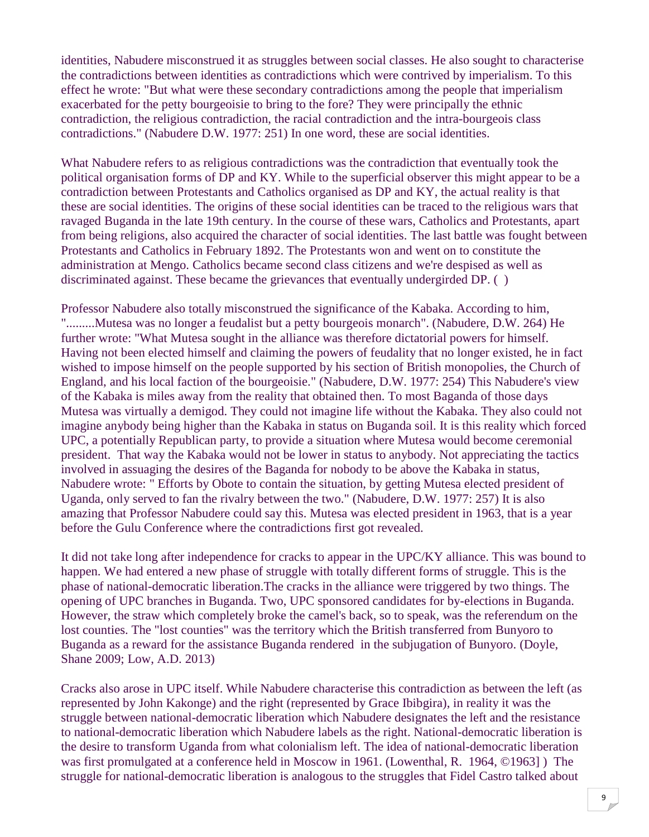identities, Nabudere misconstrued it as struggles between social classes. He also sought to characterise the contradictions between identities as contradictions which were contrived by imperialism. To this effect he wrote: "But what were these secondary contradictions among the people that imperialism exacerbated for the petty bourgeoisie to bring to the fore? They were principally the ethnic contradiction, the religious contradiction, the racial contradiction and the intra-bourgeois class contradictions." (Nabudere D.W. 1977: 251) In one word, these are social identities.

What Nabudere refers to as religious contradictions was the contradiction that eventually took the political organisation forms of DP and KY. While to the superficial observer this might appear to be a contradiction between Protestants and Catholics organised as DP and KY, the actual reality is that these are social identities. The origins of these social identities can be traced to the religious wars that ravaged Buganda in the late 19th century. In the course of these wars, Catholics and Protestants, apart from being religions, also acquired the character of social identities. The last battle was fought between Protestants and Catholics in February 1892. The Protestants won and went on to constitute the administration at Mengo. Catholics became second class citizens and we're despised as well as discriminated against. These became the grievances that eventually undergirded DP. ( )

Professor Nabudere also totally misconstrued the significance of the Kabaka. According to him, ".........Mutesa was no longer a feudalist but a petty bourgeois monarch". (Nabudere, D.W. 264) He further wrote: "What Mutesa sought in the alliance was therefore dictatorial powers for himself. Having not been elected himself and claiming the powers of feudality that no longer existed, he in fact wished to impose himself on the people supported by his section of British monopolies, the Church of England, and his local faction of the bourgeoisie." (Nabudere, D.W. 1977: 254) This Nabudere's view of the Kabaka is miles away from the reality that obtained then. To most Baganda of those days Mutesa was virtually a demigod. They could not imagine life without the Kabaka. They also could not imagine anybody being higher than the Kabaka in status on Buganda soil. It is this reality which forced UPC, a potentially Republican party, to provide a situation where Mutesa would become ceremonial president. That way the Kabaka would not be lower in status to anybody. Not appreciating the tactics involved in assuaging the desires of the Baganda for nobody to be above the Kabaka in status, Nabudere wrote: " Efforts by Obote to contain the situation, by getting Mutesa elected president of Uganda, only served to fan the rivalry between the two." (Nabudere, D.W. 1977: 257) It is also amazing that Professor Nabudere could say this. Mutesa was elected president in 1963, that is a year before the Gulu Conference where the contradictions first got revealed.

It did not take long after independence for cracks to appear in the UPC/KY alliance. This was bound to happen. We had entered a new phase of struggle with totally different forms of struggle. This is the phase of national-democratic liberation.The cracks in the alliance were triggered by two things. The opening of UPC branches in Buganda. Two, UPC sponsored candidates for by-elections in Buganda. However, the straw which completely broke the camel's back, so to speak, was the referendum on the lost counties. The "lost counties" was the territory which the British transferred from Bunyoro to Buganda as a reward for the assistance Buganda rendered in the subjugation of Bunyoro. (Doyle, Shane 2009; Low, A.D. 2013)

Cracks also arose in UPC itself. While Nabudere characterise this contradiction as between the left (as represented by John Kakonge) and the right (represented by Grace Ibibgira), in reality it was the struggle between national-democratic liberation which Nabudere designates the left and the resistance to national-democratic liberation which Nabudere labels as the right. National-democratic liberation is the desire to transform Uganda from what colonialism left. The idea of national-democratic liberation was first promulgated at a conference held in Moscow in 1961. (Lowenthal, R. 1964, ©1963] ) The struggle for national-democratic liberation is analogous to the struggles that Fidel Castro talked about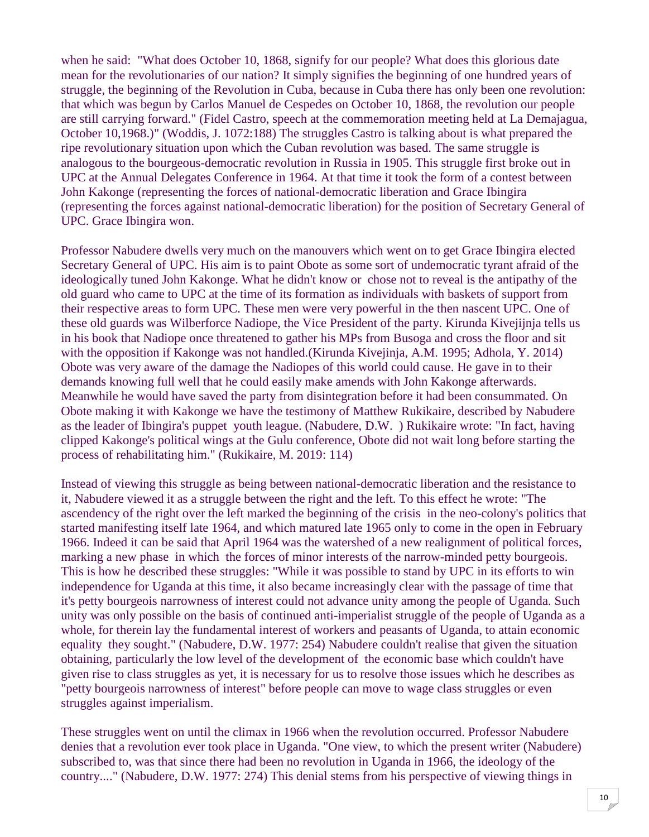when he said: "What does October 10, 1868, signify for our people? What does this glorious date mean for the revolutionaries of our nation? It simply signifies the beginning of one hundred years of struggle, the beginning of the Revolution in Cuba, because in Cuba there has only been one revolution: that which was begun by Carlos Manuel de Cespedes on October 10, 1868, the revolution our people are still carrying forward." (Fidel Castro, speech at the commemoration meeting held at La Demajagua, October 10,1968.)" (Woddis, J. 1072:188) The struggles Castro is talking about is what prepared the ripe revolutionary situation upon which the Cuban revolution was based. The same struggle is analogous to the bourgeous-democratic revolution in Russia in 1905. This struggle first broke out in UPC at the Annual Delegates Conference in 1964. At that time it took the form of a contest between John Kakonge (representing the forces of national-democratic liberation and Grace Ibingira (representing the forces against national-democratic liberation) for the position of Secretary General of UPC. Grace Ibingira won.

Professor Nabudere dwells very much on the manouvers which went on to get Grace Ibingira elected Secretary General of UPC. His aim is to paint Obote as some sort of undemocratic tyrant afraid of the ideologically tuned John Kakonge. What he didn't know or chose not to reveal is the antipathy of the old guard who came to UPC at the time of its formation as individuals with baskets of support from their respective areas to form UPC. These men were very powerful in the then nascent UPC. One of these old guards was Wilberforce Nadiope, the Vice President of the party. Kirunda Kivejijnja tells us in his book that Nadiope once threatened to gather his MPs from Busoga and cross the floor and sit with the opposition if Kakonge was not handled.(Kirunda Kivejinja, A.M. 1995; Adhola, Y. 2014) Obote was very aware of the damage the Nadiopes of this world could cause. He gave in to their demands knowing full well that he could easily make amends with John Kakonge afterwards. Meanwhile he would have saved the party from disintegration before it had been consummated. On Obote making it with Kakonge we have the testimony of Matthew Rukikaire, described by Nabudere as the leader of Ibingira's puppet youth league. (Nabudere, D.W. ) Rukikaire wrote: "In fact, having clipped Kakonge's political wings at the Gulu conference, Obote did not wait long before starting the process of rehabilitating him." (Rukikaire, M. 2019: 114)

Instead of viewing this struggle as being between national-democratic liberation and the resistance to it, Nabudere viewed it as a struggle between the right and the left. To this effect he wrote: "The ascendency of the right over the left marked the beginning of the crisis in the neo-colony's politics that started manifesting itself late 1964, and which matured late 1965 only to come in the open in February 1966. Indeed it can be said that April 1964 was the watershed of a new realignment of political forces, marking a new phase in which the forces of minor interests of the narrow-minded petty bourgeois. This is how he described these struggles: "While it was possible to stand by UPC in its efforts to win independence for Uganda at this time, it also became increasingly clear with the passage of time that it's petty bourgeois narrowness of interest could not advance unity among the people of Uganda. Such unity was only possible on the basis of continued anti-imperialist struggle of the people of Uganda as a whole, for therein lay the fundamental interest of workers and peasants of Uganda, to attain economic equality they sought." (Nabudere, D.W. 1977: 254) Nabudere couldn't realise that given the situation obtaining, particularly the low level of the development of the economic base which couldn't have given rise to class struggles as yet, it is necessary for us to resolve those issues which he describes as "petty bourgeois narrowness of interest" before people can move to wage class struggles or even struggles against imperialism.

These struggles went on until the climax in 1966 when the revolution occurred. Professor Nabudere denies that a revolution ever took place in Uganda. "One view, to which the present writer (Nabudere) subscribed to, was that since there had been no revolution in Uganda in 1966, the ideology of the country...." (Nabudere, D.W. 1977: 274) This denial stems from his perspective of viewing things in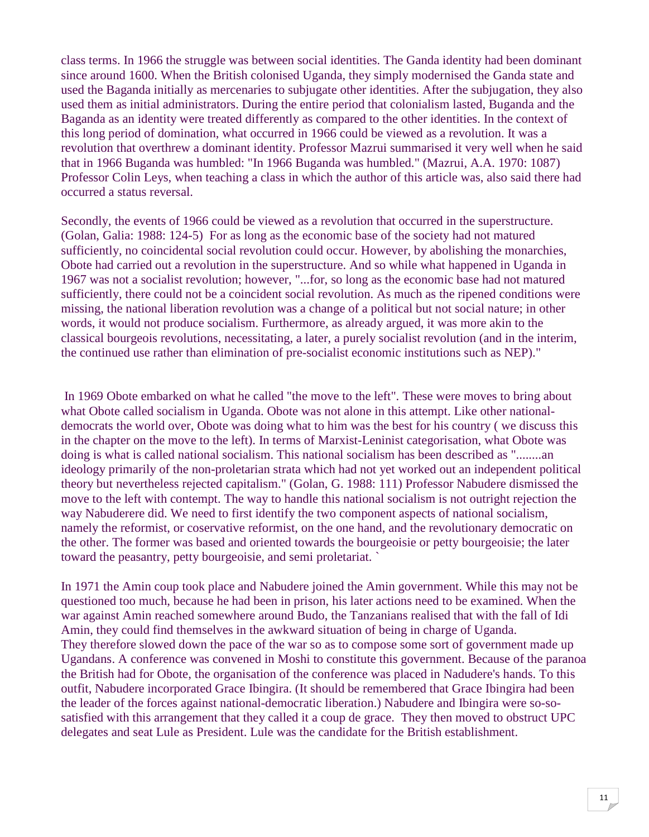class terms. In 1966 the struggle was between social identities. The Ganda identity had been dominant since around 1600. When the British colonised Uganda, they simply modernised the Ganda state and used the Baganda initially as mercenaries to subjugate other identities. After the subjugation, they also used them as initial administrators. During the entire period that colonialism lasted, Buganda and the Baganda as an identity were treated differently as compared to the other identities. In the context of this long period of domination, what occurred in 1966 could be viewed as a revolution. It was a revolution that overthrew a dominant identity. Professor Mazrui summarised it very well when he said that in 1966 Buganda was humbled: "In 1966 Buganda was humbled." (Mazrui, A.A. 1970: 1087) Professor Colin Leys, when teaching a class in which the author of this article was, also said there had occurred a status reversal.

Secondly, the events of 1966 could be viewed as a revolution that occurred in the superstructure. (Golan, Galia: 1988: 124-5) For as long as the economic base of the society had not matured sufficiently, no coincidental social revolution could occur. However, by abolishing the monarchies, Obote had carried out a revolution in the superstructure. And so while what happened in Uganda in 1967 was not a socialist revolution; however, "...for, so long as the economic base had not matured sufficiently, there could not be a coincident social revolution. As much as the ripened conditions were missing, the national liberation revolution was a change of a political but not social nature; in other words, it would not produce socialism. Furthermore, as already argued, it was more akin to the classical bourgeois revolutions, necessitating, a later, a purely socialist revolution (and in the interim, the continued use rather than elimination of pre-socialist economic institutions such as NEP)."

 In 1969 Obote embarked on what he called "the move to the left". These were moves to bring about what Obote called socialism in Uganda. Obote was not alone in this attempt. Like other nationaldemocrats the world over, Obote was doing what to him was the best for his country ( we discuss this in the chapter on the move to the left). In terms of Marxist-Leninist categorisation, what Obote was doing is what is called national socialism. This national socialism has been described as "........an ideology primarily of the non-proletarian strata which had not yet worked out an independent political theory but nevertheless rejected capitalism." (Golan, G. 1988: 111) Professor Nabudere dismissed the move to the left with contempt. The way to handle this national socialism is not outright rejection the way Nabuderere did. We need to first identify the two component aspects of national socialism, namely the reformist, or coservative reformist, on the one hand, and the revolutionary democratic on the other. The former was based and oriented towards the bourgeoisie or petty bourgeoisie; the later toward the peasantry, petty bourgeoisie, and semi proletariat. `

In 1971 the Amin coup took place and Nabudere joined the Amin government. While this may not be questioned too much, because he had been in prison, his later actions need to be examined. When the war against Amin reached somewhere around Budo, the Tanzanians realised that with the fall of Idi Amin, they could find themselves in the awkward situation of being in charge of Uganda. They therefore slowed down the pace of the war so as to compose some sort of government made up Ugandans. A conference was convened in Moshi to constitute this government. Because of the paranoa the British had for Obote, the organisation of the conference was placed in Nadudere's hands. To this outfit, Nabudere incorporated Grace Ibingira. (It should be remembered that Grace Ibingira had been the leader of the forces against national-democratic liberation.) Nabudere and Ibingira were so-sosatisfied with this arrangement that they called it a coup de grace. They then moved to obstruct UPC delegates and seat Lule as President. Lule was the candidate for the British establishment.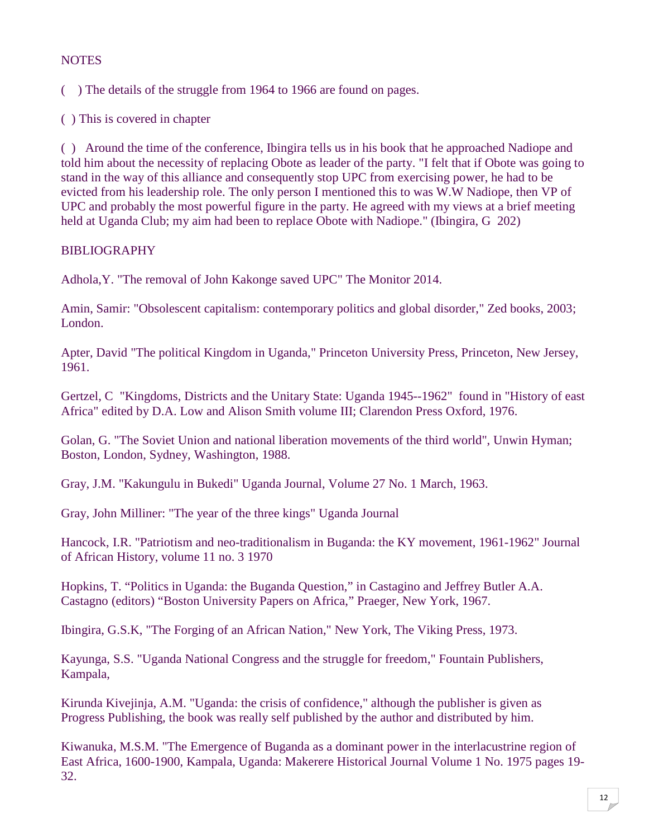## **NOTES**

( ) The details of the struggle from 1964 to 1966 are found on pages.

( ) This is covered in chapter

( ) Around the time of the conference, Ibingira tells us in his book that he approached Nadiope and told him about the necessity of replacing Obote as leader of the party. "I felt that if Obote was going to stand in the way of this alliance and consequently stop UPC from exercising power, he had to be evicted from his leadership role. The only person I mentioned this to was W.W Nadiope, then VP of UPC and probably the most powerful figure in the party. He agreed with my views at a brief meeting held at Uganda Club; my aim had been to replace Obote with Nadiope." (Ibingira, G 202)

## BIBLIOGRAPHY

Adhola,Y. "The removal of John Kakonge saved UPC" The Monitor 2014.

Amin, Samir: "Obsolescent capitalism: contemporary politics and global disorder," Zed books, 2003; London.

Apter, David "The political Kingdom in Uganda," Princeton University Press, Princeton, New Jersey, 1961.

Gertzel, C "Kingdoms, Districts and the Unitary State: Uganda 1945--1962" found in "History of east Africa" edited by D.A. Low and Alison Smith volume III; Clarendon Press Oxford, 1976.

Golan, G. "The Soviet Union and national liberation movements of the third world", Unwin Hyman; Boston, London, Sydney, Washington, 1988.

Gray, J.M. "Kakungulu in Bukedi" Uganda Journal, Volume 27 No. 1 March, 1963.

Gray, John Milliner: "The year of the three kings" Uganda Journal

Hancock, I.R. "Patriotism and neo-traditionalism in Buganda: the KY movement, 1961-1962" Journal of African History, volume 11 no. 3 1970

Hopkins, T. "Politics in Uganda: the Buganda Question," in Castagino and Jeffrey Butler A.A. Castagno (editors) "Boston University Papers on Africa," Praeger, New York, 1967.

Ibingira, G.S.K, "The Forging of an African Nation," New York, The Viking Press, 1973.

Kayunga, S.S. "Uganda National Congress and the struggle for freedom," Fountain Publishers, Kampala,

Kirunda Kivejinja, A.M. "Uganda: the crisis of confidence," although the publisher is given as Progress Publishing, the book was really self published by the author and distributed by him.

Kiwanuka, M.S.M. "The Emergence of Buganda as a dominant power in the interlacustrine region of East Africa, 1600-1900, Kampala, Uganda: Makerere Historical Journal Volume 1 No. 1975 pages 19- 32.